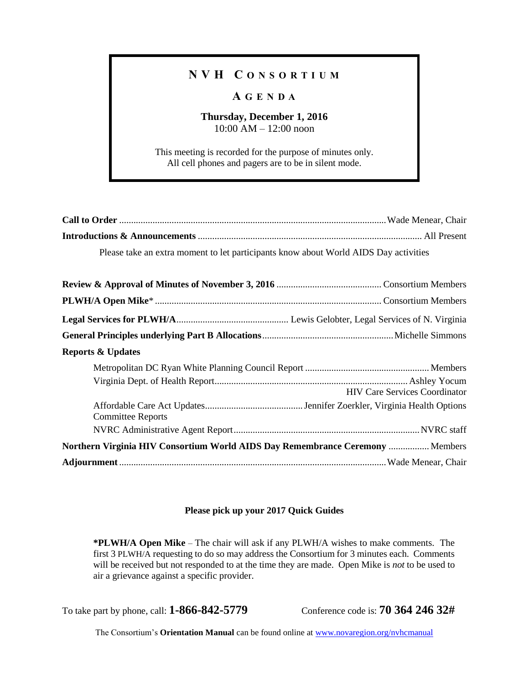## **N V H C O N S O R T I U M**

## **A G E N D A**

### **Thursday, December 1, 2016** 10:00 AM – 12:00 noon

This meeting is recorded for the purpose of minutes only. All cell phones and pagers are to be in silent mode.

| Please take an extra moment to let participants know about World AIDS Day activities |  |
|--------------------------------------------------------------------------------------|--|

| <b>Reports &amp; Updates</b>                                                         |                                      |  |
|--------------------------------------------------------------------------------------|--------------------------------------|--|
|                                                                                      |                                      |  |
|                                                                                      | <b>HIV Care Services Coordinator</b> |  |
| <b>Committee Reports</b>                                                             |                                      |  |
|                                                                                      |                                      |  |
| <b>Northern Virginia HIV Consortium World AIDS Day Remembrance Ceremony  Members</b> |                                      |  |
|                                                                                      |                                      |  |

#### **Please pick up your 2017 Quick Guides**

**\*PLWH/A Open Mike** – The chair will ask if any PLWH/A wishes to make comments. The first 3 PLWH/A requesting to do so may address the Consortium for 3 minutes each. Comments will be received but not responded to at the time they are made. Open Mike is *not* to be used to air a grievance against a specific provider.

To take part by phone, call: **1-866-842-5779** Conference code is: **70 364 246 32#**

The Consortium's **Orientation Manual** can be found online at [www.novaregion.org/nvhcmanual](http://www.novaregion.org/nvhcmanual)